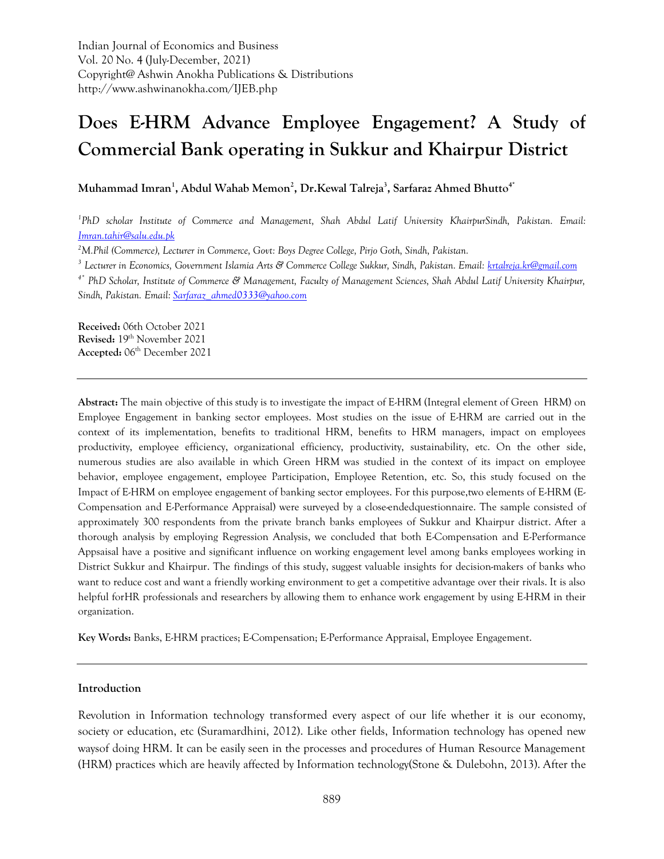Indian Journal of Economics and Business Vol. 20 No. 4 (July-December, 2021) Copyright@ Ashwin Anokha Publications & Distributions http://www.ashwinanokha.com/IJEB.php

# **Does E-HRM Advance Employee Engagement? A Study of Commercial Bank operating in Sukkur and Khairpur District**

**Muhammad Imran<sup>1</sup> , Abdul Wahab Memon<sup>2</sup> , Dr.Kewal Talreja<sup>3</sup> , Sarfaraz Ahmed Bhutto4\***

<sup>1</sup> PhD scholar Institute of Commerce and Management, Shah Abdul Latif University KhairpurSindh, Pakistan. Email: *[Imran.tahir@salu.edu.pk](mailto:Imran.tahir@salu.edu.pk)*

*<sup>2</sup>M.Phil (Commerce), Lecturer in Commerce, Govt: Boys Degree College, Pirjo Goth, Sindh, Pakistan.* 

*<sup>3</sup> Lecturer in Economics, Government Islamia Arts & Commerce College Sukkur, Sindh, Pakistan. Email[: krtalreja.kr@gmail.com](mailto:krtalreja.kr@gmail.com)*

*4\* PhD Scholar, Institute of Commerce & Management, Faculty of Management Sciences, Shah Abdul Latif University Khairpur, Sindh, Pakistan. Email[: Sarfaraz\\_ahmed0333@yahoo.com](mailto:Sarfaraz_ahmed0333@yahoo.com)*

**Received:** 06th October 2021 **Revised:** 19th November 2021 **Accepted:** 06th December 2021

**Abstract:** The main objective of this study is to investigate the impact of E-HRM (Integral element of Green HRM) on Employee Engagement in banking sector employees. Most studies on the issue of E-HRM are carried out in the context of its implementation, benefits to traditional HRM, benefits to HRM managers, impact on employees productivity, employee efficiency, organizational efficiency, productivity, sustainability, etc. On the other side, numerous studies are also available in which Green HRM was studied in the context of its impact on employee behavior, employee engagement, employee Participation, Employee Retention, etc. So, this study focused on the Impact of E-HRM on employee engagement of banking sector employees. For this purpose,two elements of E-HRM (E-Compensation and E-Performance Appraisal) were surveyed by a close-endedquestionnaire. The sample consisted of approximately 300 respondents from the private branch banks employees of Sukkur and Khairpur district. After a thorough analysis by employing Regression Analysis, we concluded that both E-Compensation and E-Performance Appsaisal have a positive and significant influence on working engagement level among banks employees working in District Sukkur and Khairpur. The findings of this study, suggest valuable insights for decision-makers of banks who want to reduce cost and want a friendly working environment to get a competitive advantage over their rivals. It is also helpful forHR professionals and researchers by allowing them to enhance work engagement by using E-HRM in their organization.

**Key Words:** Banks, E-HRM practices; E-Compensation; E-Performance Appraisal, Employee Engagement.

#### **Introduction**

Revolution in Information technology transformed every aspect of our life whether it is our economy, society or education, etc (Suramardhini, 2012). Like other fields, Information technology has opened new waysof doing HRM. It can be easily seen in the processes and procedures of Human Resource Management (HRM) practices which are heavily affected by Information technology[\(Stone & Dulebohn, 2013\)](#page-14-0). After the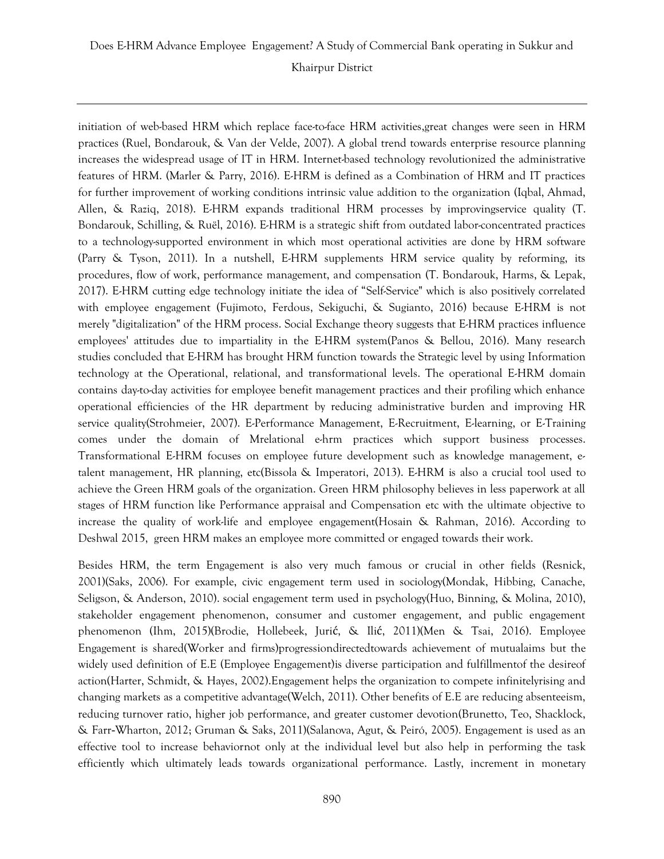initiation of web-based HRM which replace face-to-face HRM activities,great changes were seen in HRM practices (Ruel, [Bondarouk, & Van der Velde, 2007\)](#page-14-1). A global trend towards enterprise resource planning increases the widespread usage of IT in HRM. Internet-based technology revolutionized the administrative features of HRM. [\(Marler & Parry, 2016\)](#page-13-0). E-HRM is defined as a Combination of HRM and IT practices for further improvement of working conditions intrinsic value addition to the organization [\(Iqbal, Ahmad,](#page-13-1)  [Allen, & Raziq, 2018\)](#page-13-1). E-HRM expands traditional HRM processes by improvingservice quality [\(T.](#page-12-0)  [Bondarouk, Schilling, & Ruël, 2016\)](#page-12-0). E-HRM is a strategic shift from outdated labor-concentrated practices to a technology-supported environment in which most operational activities are done by HRM software [\(Parry & Tyson, 2011\)](#page-14-2). In a nutshell, E-HRM supplements HRM service quality by reforming, its procedures, flow of work, performance management, and compensation [\(T. Bondarouk, Harms, & Lepak,](#page-12-1)  [2017\)](#page-12-1). E-HRM cutting edge technology initiate the idea of "Self-Service" which is also positively correlated with employee engagement [\(Fujimoto, Ferdous, Sekiguchi, & Sugianto, 2016\)](#page-12-2) because E-HRM is not merely "digitalization" of the HRM process. Social Exchange theory suggests that E-HRM practices influence employees' attitudes due to impartiality in the E-HRM system[\(Panos & Bellou, 2016\)](#page-14-3). Many research studies concluded that E-HRM has brought HRM function towards the Strategic level by using Information technology at the Operational, relational, and transformational levels. The operational E-HRM domain contains day-to-day activities for employee benefit management practices and their profiling which enhance operational efficiencies of the HR department by reducing administrative burden and improving HR service quality[\(Strohmeier, 2007\)](#page-14-4). E-Performance Management, E-Recruitment, E-learning, or E-Training comes under the domain of Mrelational e-hrm practices which support business processes. Transformational E-HRM focuses on employee future development such as knowledge management, etalent management, HR planning, etc[\(Bissola & Imperatori, 2013\)](#page-12-3). E-HRM is also a crucial tool used to achieve the Green HRM goals of the organization. Green HRM philosophy believes in less paperwork at all stages of HRM function like Performance appraisal and Compensation etc with the ultimate objective to increase the quality of work-life and employee engagement[\(Hosain & Rahman, 2016\)](#page-13-2). According to Deshwal 2015, green HRM makes an employee more committed or engaged towards their work.

Besides HRM, the term Engagement is also very much famous or crucial in other fields [\(Resnick,](#page-14-5)  [2001\)](#page-14-5)[\(Saks, 2006\)](#page-14-6). For example, civic engagement term used in sociology[\(Mondak, Hibbing, Canache,](#page-14-7)  [Seligson, & Anderson, 2010\)](#page-14-7). social engagement term used in psychology[\(Huo, Binning, & Molina, 2010\)](#page-13-3), stakeholder engagement phenomenon, consumer and customer engagement, and public engagement phenomenon [\(Ihm, 2015\)](#page-13-4)[\(Brodie, Hollebeek, Juri](#page-12-4)ć, & Ilić, 2011)[\(Men & Tsai, 2016\)](#page-13-5). Employee Engagement is shared(Worker and firms)progressiondirectedtowards achievement of mutualaims but the widely used definition of E.E (Employee Engagement)is diverse participation and fulfillmentof the desireof action[\(Harter, Schmidt, & Hayes, 2002\)](#page-13-6).Engagement helps the organization to compete infinitelyrising and changing markets as a competitive advantage[\(Welch, 2011\)](#page-14-8). Other benefits of E.E are reducing absenteeism, reducing turnover ratio, higher job performance, and greater customer devotion[\(Brunetto, Teo, Shacklock,](#page-12-5)  & Farr‐[Wharton, 2012;](#page-12-5) [Gruman & Saks, 2011\)](#page-13-7)[\(Salanova, Agut, & Peiró, 2005\)](#page-14-9). Engagement is used as an effective tool to increase behaviornot only at the individual level but also help in performing the task efficiently which ultimately leads towards organizational performance. Lastly, increment in monetary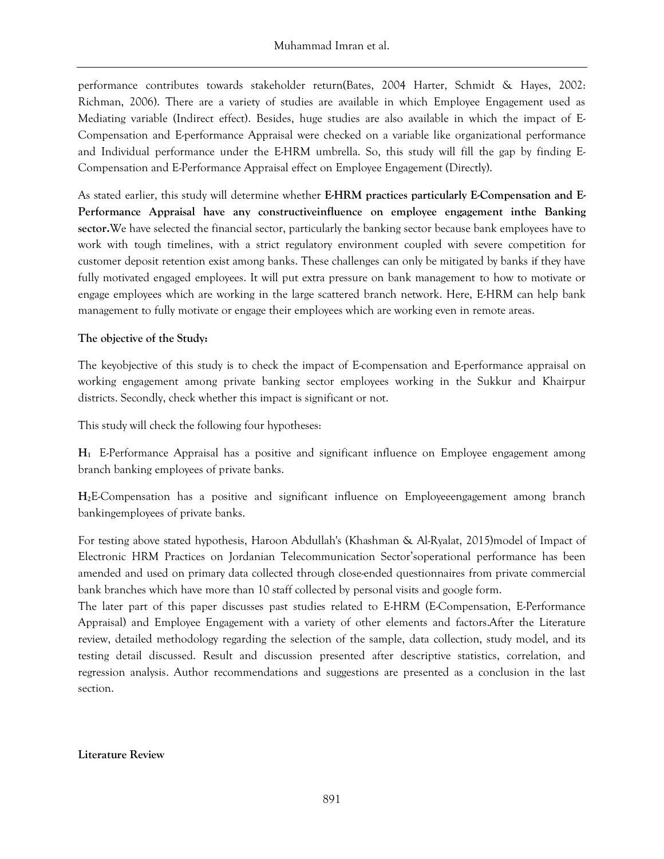performance contributes towards stakeholder return[\(Bates, 2004 Harter, Schmidt & Hayes, 2002:](#page-12-6)  [Richman, 2006\)](#page-12-6). There are a variety of studies are available in which Employee Engagement used as Mediating variable (Indirect effect). Besides, huge studies are also available in which the impact of E-Compensation and E-performance Appraisal were checked on a variable like organizational performance and Individual performance under the E-HRM umbrella. So, this study will fill the gap by finding E-Compensation and E-Performance Appraisal effect on Employee Engagement (Directly).

As stated earlier, this study will determine whether **E-HRM practices particularly E-Compensation and E-Performance Appraisal have any constructiveinfluence on employee engagement inthe Banking sector.**We have selected the financial sector, particularly the banking sector because bank employees have to work with tough timelines, with a strict regulatory environment coupled with severe competition for customer deposit retention exist among banks. These challenges can only be mitigated by banks if they have fully motivated engaged employees. It will put extra pressure on bank management to how to motivate or engage employees which are working in the large scattered branch network. Here, E-HRM can help bank management to fully motivate or engage their employees which are working even in remote areas.

# **The objective of the Study:**

The keyobjective of this study is to check the impact of E-compensation and E-performance appraisal on working engagement among private banking sector employees working in the Sukkur and Khairpur districts. Secondly, check whether this impact is significant or not.

This study will check the following four hypotheses:

**H1** E-Performance Appraisal has a positive and significant influence on Employee engagement among branch banking employees of private banks.

**H2**E-Compensation has a positive and significant influence on Employeeengagement among branch bankingemployees of private banks.

For testing above stated hypothesis, Haroon Abdullah's [\(Khashman & Al-Ryalat, 2015\)](#page-13-8)model of Impact of Electronic HRM Practices on Jordanian Telecommunication Sector'soperational performance has been amended and used on primary data collected through close-ended questionnaires from private commercial bank branches which have more than 10 staff collected by personal visits and google form.

The later part of this paper discusses past studies related to E-HRM (E-Compensation, E-Performance Appraisal) and Employee Engagement with a variety of other elements and factors.After the Literature review, detailed methodology regarding the selection of the sample, data collection, study model, and its testing detail discussed. Result and discussion presented after descriptive statistics, correlation, and regression analysis. Author recommendations and suggestions are presented as a conclusion in the last section.

# **Literature Review**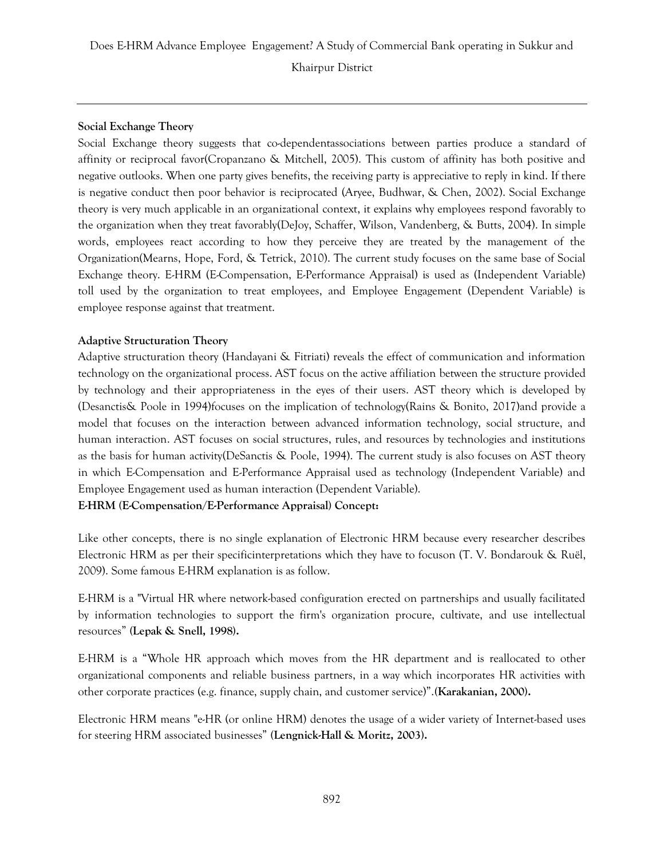# **Social Exchange Theory**

Social Exchange theory suggests that co-dependentassociations between parties produce a standard of affinity or reciprocal favor[\(Cropanzano & Mitchell, 2005\)](#page-12-7). This custom of affinity has both positive and negative outlooks. When one party gives benefits, the receiving party is appreciative to reply in kind. If there is negative conduct then poor behavior is reciprocated [\(Aryee, Budhwar, & Chen, 2002\)](#page-12-8). Social Exchange theory is very much applicable in an organizational context, it explains why employees respond favorably to the organization when they treat favorably[\(DeJoy, Schaffer, Wilson, Vandenberg, & Butts, 2004\)](#page-12-9). In simple words, employees react according to how they perceive they are treated by the management of the Organization[\(Mearns, Hope, Ford, & Tetrick, 2010\)](#page-13-9). The current study focuses on the same base of Social Exchange theory. E-HRM (E-Compensation, E-Performance Appraisal) is used as (Independent Variable) toll used by the organization to treat employees, and Employee Engagement (Dependent Variable) is employee response against that treatment.

# **Adaptive Structuration Theory**

Adaptive structuration theory [\(Handayani & Fitriati\)](#page-13-10) reveals the effect of communication and information technology on the organizational process. AST focus on the active affiliation between the structure provided by technology and their appropriateness in the eyes of their users. AST theory which is developed by (Desanctis& Poole in 1994)focuses on the implication of technology[\(Rains & Bonito, 2017\)](#page-14-10)and provide a model that focuses on the interaction between advanced information technology, social structure, and human interaction. AST focuses on social structures, rules, and resources by technologies and institutions as the basis for human activity[\(DeSanctis & Poole, 1994\)](#page-12-10). The current study is also focuses on AST theory in which E-Compensation and E-Performance Appraisal used as technology (Independent Variable) and Employee Engagement used as human interaction (Dependent Variable). **E-HRM (E-Compensation/E-Performance Appraisal) Concept:**

Like other concepts, there is no single explanation of Electronic HRM because every researcher describes Electronic HRM as per their specificinterpretations which they have to focuson [\(T. V. Bondarouk & Ruël,](#page-12-11)  [2009\)](#page-12-11). Some famous E-HRM explanation is as follow.

E-HRM is a "Virtual HR where network-based configuration erected on partnerships and usually facilitated by information technologies to support the firm's organization procure, cultivate, and use intellectual resources" **[\(Lepak & Snell, 1998\)](#page-13-11).**

E-HRM is a "Whole HR approach which moves from the HR department and is reallocated to other organizational components and reliable business partners, in a way which incorporates HR activities with other corporate practices (e.g. finance, supply chain, and customer service)".**[\(Karakanian, 2000\)](#page-13-12).**

Electronic HRM means "e-HR (or online HRM) denotes the usage of a wider variety of Internet-based uses for steering HRM associated businesses" **[\(Lengnick-Hall & Moritz, 2003\)](#page-13-13).**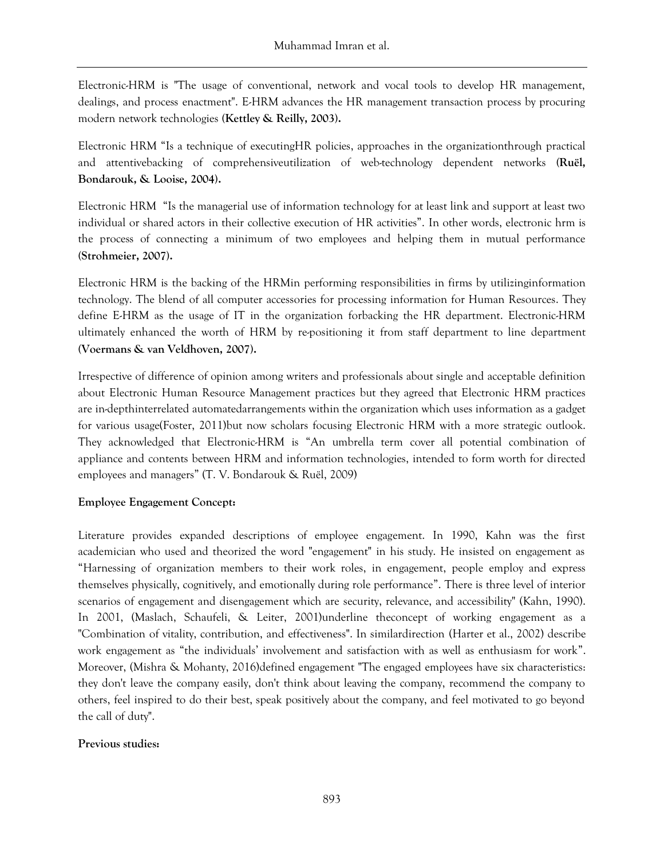Electronic-HRM is "The usage of conventional, network and vocal tools to develop HR management, dealings, and process enactment". E-HRM advances the HR management transaction process by procuring modern network technologies **[\(Kettley & Reilly, 2003\)](#page-13-14).**

Electronic HRM "Is a technique of executingHR policies, approaches in the organizationthrough practical and attentivebacking of comprehensiveutilization of web-technology dependent networks **[\(Ruël,](#page-14-11)  [Bondarouk, & Looise, 2004\)](#page-14-11).**

Electronic HRM "Is the managerial use of information technology for at least link and support at least two individual or shared actors in their collective execution of HR activities". In other words, electronic hrm is the process of connecting a minimum of two employees and helping them in mutual performance **[\(Strohmeier, 2007\)](#page-14-4).**

Electronic HRM is the backing of the HRMin performing responsibilities in firms by utilizinginformation technology. The blend of all computer accessories for processing information for Human Resources. They define E-HRM as the usage of IT in the organization forbacking the HR department. Electronic-HRM ultimately enhanced the worth of HRM by re-positioning it from staff department to line department **[\(Voermans & van Veldhoven, 2007\)](#page-14-12).**

Irrespective of difference of opinion among writers and professionals about single and acceptable definition about Electronic Human Resource Management practices but they agreed that Electronic HRM practices are in-depthinterrelated automatedarrangements within the organization which uses information as a gadget for various usage[\(Foster, 2011\)](#page-12-12)but now scholars focusing Electronic HRM with a more strategic outlook. They acknowledged that Electronic-HRM is "An umbrella term cover all potential combination of appliance and contents between HRM and information technologies, intended to form worth for directed employees and managers" [\(T. V. Bondarouk & Ruël, 2009\)](#page-12-11)

# **Employee Engagement Concept:**

Literature provides expanded descriptions of employee engagement. In 1990, Kahn was the first academician who used and theorized the word "engagement" in his study. He insisted on engagement as "Harnessing of organization members to their work roles, in engagement, people employ and express themselves physically, cognitively, and emotionally during role performance". There is three level of interior scenarios of engagement and disengagement which are security, relevance, and accessibility" [\(Kahn, 1990\)](#page-13-15). In 2001, [\(Maslach, Schaufeli, & Leiter, 2001\)](#page-13-16)underline theconcept of working engagement as a "Combination of vitality, contribution, and effectiveness". In similardirection [\(Harter et al., 2002\)](#page-13-6) describe work engagement as "the individuals' involvement and satisfaction with as well as enthusiasm for work". Moreover, [\(Mishra & Mohanty, 2016\)](#page-13-17)defined engagement "The engaged employees have six characteristics: they don't leave the company easily, don't think about leaving the company, recommend the company to others, feel inspired to do their best, speak positively about the company, and feel motivated to go beyond the call of duty".

#### **Previous studies:**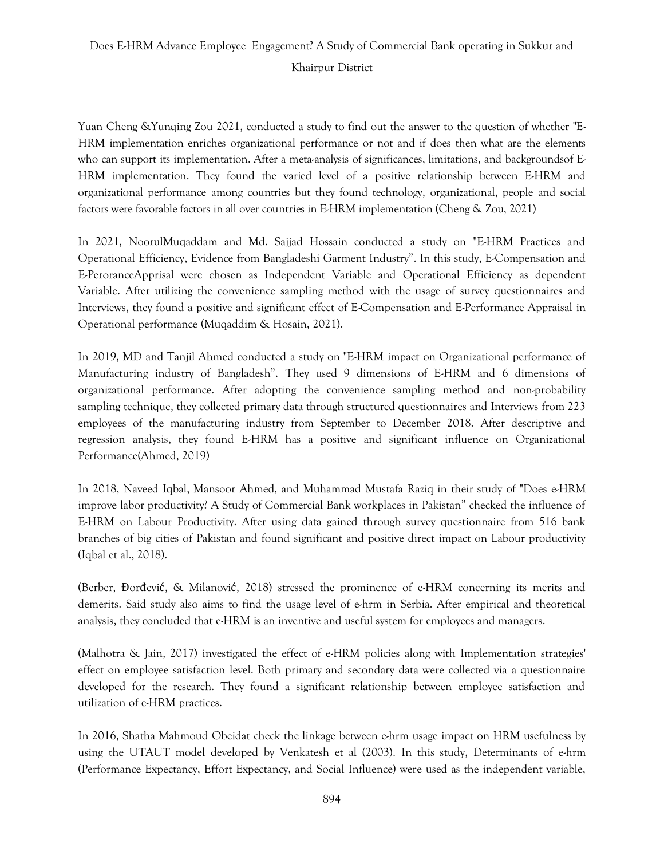Yuan Cheng &Yunqing Zou 2021, conducted a study to find out the answer to the question of whether "E-HRM implementation enriches organizational performance or not and if does then what are the elements who can support its implementation. After a meta-analysis of significances, limitations, and backgroundsof E-HRM implementation. They found the varied level of a positive relationship between E-HRM and organizational performance among countries but they found technology, organizational, people and social factors were favorable factors in all over countries in E-HRM implementation [\(Cheng & Zou, 2021\)](#page-12-13)

In 2021, NoorulMuqaddam and Md. Sajjad Hossain conducted a study on "E-HRM Practices and Operational Efficiency, Evidence from Bangladeshi Garment Industry". In this study, E-Compensation and E-PeroranceApprisal were chosen as Independent Variable and Operational Efficiency as dependent Variable. After utilizing the convenience sampling method with the usage of survey questionnaires and Interviews, they found a positive and significant effect of E-Compensation and E-Performance Appraisal in Operational performance [\(Muqaddim & Hosain, 2021\)](#page-14-13).

In 2019, MD and Tanjil Ahmed conducted a study on "E-HRM impact on Organizational performance of Manufacturing industry of Bangladesh". They used 9 dimensions of E-HRM and 6 dimensions of organizational performance. After adopting the convenience sampling method and non-probability sampling technique, they collected primary data through structured questionnaires and Interviews from 223 employees of the manufacturing industry from September to December 2018. After descriptive and regression analysis, they found E-HRM has a positive and significant influence on Organizational Performance[\(Ahmed, 2019\)](#page-12-14)

In 2018, Naveed Iqbal, Mansoor Ahmed, and Muhammad Mustafa Raziq in their study of "Does e-HRM improve labor productivity? A Study of Commercial Bank workplaces in Pakistan" checked the influence of E-HRM on Labour Productivity. After using data gained through survey questionnaire from 516 bank branches of big cities of Pakistan and found significant and positive direct impact on Labour productivity [\(Iqbal et al., 2018\)](#page-13-1).

(Berber, Đorđević[, & Milanovi](#page-12-15)ć, 2018) stressed the prominence of e-HRM concerning its merits and demerits. Said study also aims to find the usage level of e-hrm in Serbia. After empirical and theoretical analysis, they concluded that e-HRM is an inventive and useful system for employees and managers.

[\(Malhotra & Jain, 2017\)](#page-13-18) investigated the effect of e-HRM policies along with Implementation strategies' effect on employee satisfaction level. Both primary and secondary data were collected via a questionnaire developed for the research. They found a significant relationship between employee satisfaction and utilization of e-HRM practices.

In 2016, Shatha Mahmoud Obeidat check the linkage between e-hrm usage impact on HRM usefulness by using the UTAUT model developed by Venkatesh et al (2003). In this study, Determinants of e-hrm (Performance Expectancy, Effort Expectancy, and Social Influence) were used as the independent variable,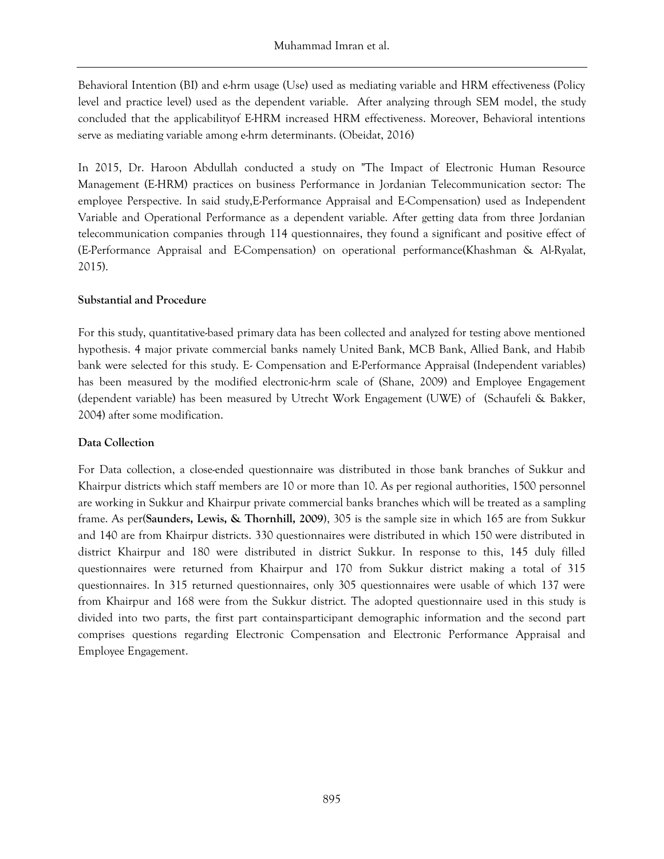Behavioral Intention (BI) and e-hrm usage (Use) used as mediating variable and HRM effectiveness (Policy level and practice level) used as the dependent variable. After analyzing through SEM model, the study concluded that the applicabilityof E-HRM increased HRM effectiveness. Moreover, Behavioral intentions serve as mediating variable among e-hrm determinants. [\(Obeidat, 2016\)](#page-14-14)

In 2015, Dr. Haroon Abdullah conducted a study on "The Impact of Electronic Human Resource Management (E-HRM) practices on business Performance in Jordanian Telecommunication sector: The employee Perspective. In said study,E-Performance Appraisal and E-Compensation) used as Independent Variable and Operational Performance as a dependent variable. After getting data from three Jordanian telecommunication companies through 114 questionnaires, they found a significant and positive effect of (E-Performance Appraisal and E-Compensation) on operational performance[\(Khashman & Al-Ryalat,](#page-13-8)  [2015\)](#page-13-8).

### **Substantial and Procedure**

For this study, quantitative-based primary data has been collected and analyzed for testing above mentioned hypothesis. 4 major private commercial banks namely United Bank, MCB Bank, Allied Bank, and Habib bank were selected for this study. E- Compensation and E-Performance Appraisal (Independent variables) has been measured by the modified electronic-hrm scale of [\(Shane, 2009\)](#page-14-15) and Employee Engagement (dependent variable) has been measured by Utrecht Work Engagement (UWE) of [\(Schaufeli & Bakker,](#page-14-16)  [2004\)](#page-14-16) after some modification.

#### **Data Collection**

For Data collection, a close-ended questionnaire was distributed in those bank branches of Sukkur and Khairpur districts which staff members are 10 or more than 10. As per regional authorities, 1500 personnel are working in Sukkur and Khairpur private commercial banks branches which will be treated as a sampling frame. As per**[\(Saunders, Lewis, & Thornhill, 2009\)](#page-14-17)**, 305 is the sample size in which 165 are from Sukkur and 140 are from Khairpur districts. 330 questionnaires were distributed in which 150 were distributed in district Khairpur and 180 were distributed in district Sukkur. In response to this, 145 duly filled questionnaires were returned from Khairpur and 170 from Sukkur district making a total of 315 questionnaires. In 315 returned questionnaires, only 305 questionnaires were usable of which 137 were from Khairpur and 168 were from the Sukkur district. The adopted questionnaire used in this study is divided into two parts, the first part containsparticipant demographic information and the second part comprises questions regarding Electronic Compensation and Electronic Performance Appraisal and Employee Engagement.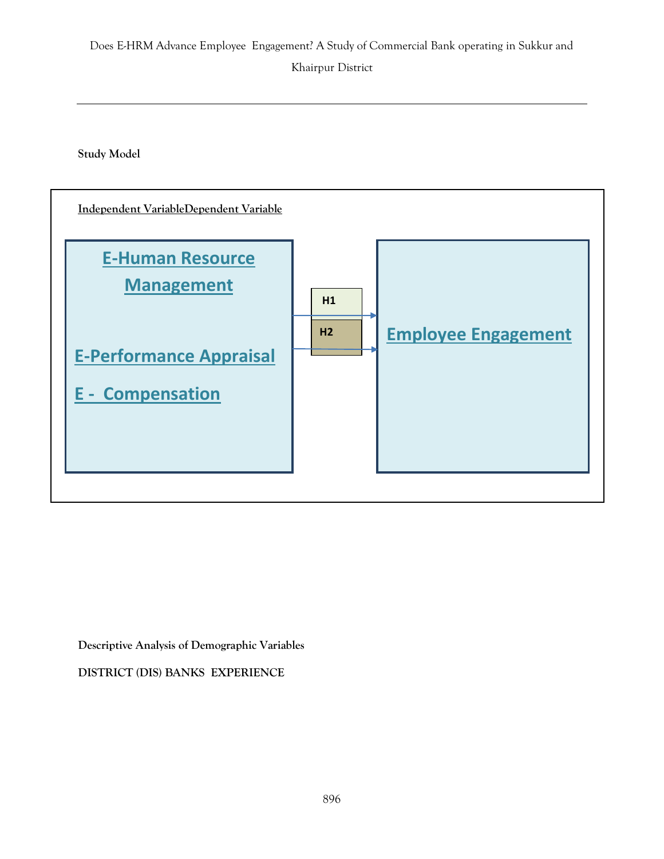**Study Model**



**Descriptive Analysis of Demographic Variables**

**DISTRICT (DIS) BANKS EXPERIENCE**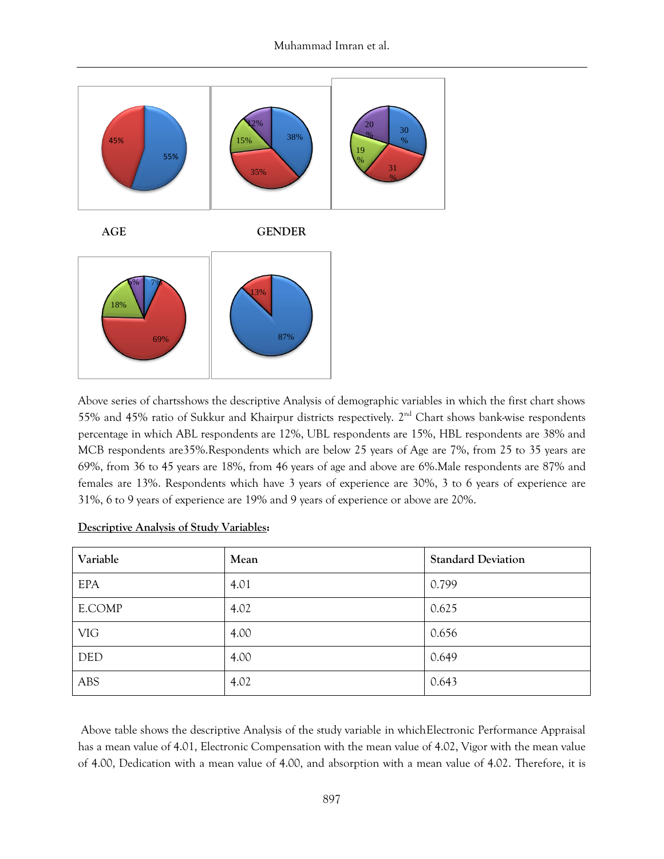

Above series of chartsshows the descriptive Analysis of demographic variables in which the first chart shows 55% and 45% ratio of Sukkur and Khairpur districts respectively. 2<sup>nd</sup> Chart shows bank-wise respondents percentage in which ABL respondents are 12%, UBL respondents are 15%, HBL respondents are 38% and MCB respondents are35%.Respondents which are below 25 years of Age are 7%, from 25 to 35 years are 69%, from 36 to 45 years are 18%, from 46 years of age and above are 6%.Male respondents are 87% and females are 13%. Respondents which have 3 years of experience are 30%, 3 to 6 years of experience are 31%, 6 to 9 years of experience are 19% and 9 years of experience or above are 20%.

| Variable   | Mean | <b>Standard Deviation</b> |
|------------|------|---------------------------|
| <b>EPA</b> | 4.01 | 0.799                     |
| E.COMP     | 4.02 | 0.625                     |
| <b>VIG</b> | 4.00 | 0.656                     |
| <b>DED</b> | 4.00 | 0.649                     |
| ABS        | 4.02 | 0.643                     |

#### **Descriptive Analysis of Study Variables:**

Above table shows the descriptive Analysis of the study variable in whichElectronic Performance Appraisal has a mean value of 4.01, Electronic Compensation with the mean value of 4.02, Vigor with the mean value of 4.00, Dedication with a mean value of 4.00, and absorption with a mean value of 4.02. Therefore, it is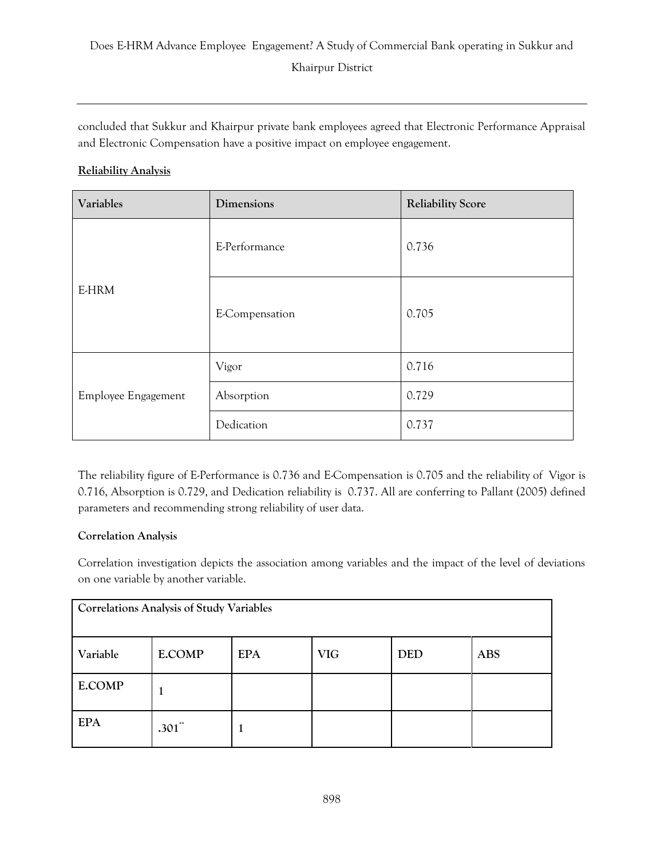concluded that Sukkur and Khairpur private bank employees agreed that Electronic Performance Appraisal and Electronic Compensation have a positive impact on employee engagement.

# **Reliability Analysis**

| Variables           | Dimensions     | <b>Reliability Score</b> |  |
|---------------------|----------------|--------------------------|--|
| E-HRM               | E-Performance  | 0.736                    |  |
|                     | E-Compensation | 0.705                    |  |
| Employee Engagement | Vigor          | 0.716                    |  |
|                     | Absorption     | 0.729                    |  |
|                     | Dedication     | 0.737                    |  |

The reliability figure of E-Performance is 0.736 and E-Compensation is 0.705 and the reliability of Vigor is 0.716, Absorption is 0.729, and Dedication reliability is 0.737. All are conferring to Pallant (2005) defined parameters and recommending strong reliability of user data.

# **Correlation Analysis**

Correlation investigation depicts the association among variables and the impact of the level of deviations on one variable by another variable.

| <b>Correlations Analysis of Study Variables</b> |               |            |            |            |            |
|-------------------------------------------------|---------------|------------|------------|------------|------------|
| Variable                                        | <b>E.COMP</b> | <b>EPA</b> | <b>VIG</b> | <b>DED</b> | <b>ABS</b> |
| <b>E.COMP</b>                                   |               |            |            |            |            |
| <b>EPA</b>                                      | $.301$ **     | T          |            |            |            |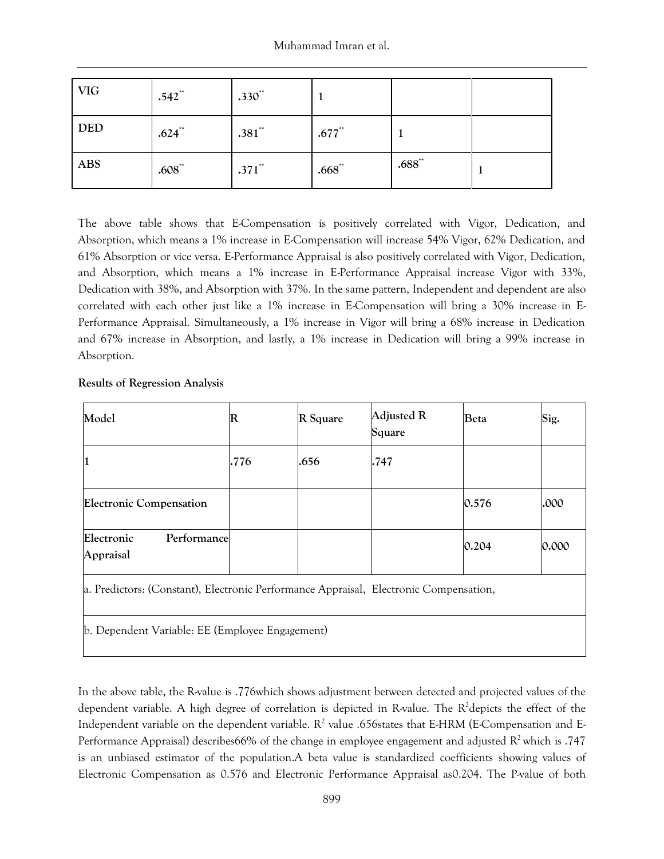| <b>VIG</b> | $.542$ <sup>**</sup> | $.330^{**}$ |                      |             |  |
|------------|----------------------|-------------|----------------------|-------------|--|
| <b>DED</b> | $.624$ **            | $.381$ **   | $.677$ <sup>**</sup> |             |  |
| <b>ABS</b> | $.608^{**}$          | $.371$ **   | $.668^{**}$          | $.688^{**}$ |  |

The above table shows that E-Compensation is positively correlated with Vigor, Dedication, and Absorption, which means a 1% increase in E-Compensation will increase 54% Vigor, 62% Dedication, and 61% Absorption or vice versa. E-Performance Appraisal is also positively correlated with Vigor, Dedication, and Absorption, which means a 1% increase in E-Performance Appraisal increase Vigor with 33%, Dedication with 38%, and Absorption with 37%. In the same pattern, Independent and dependent are also correlated with each other just like a 1% increase in E-Compensation will bring a 30% increase in E-Performance Appraisal. Simultaneously, a 1% increase in Vigor will bring a 68% increase in Dedication and 67% increase in Absorption, and lastly, a 1% increase in Dedication will bring a 99% increase in Absorption.

# **Results of Regression Analysis**

| Model                                  | $\mathbb R$ | R Square | Adjusted R<br>Square | <b>Beta</b> | Sig.  |
|----------------------------------------|-------------|----------|----------------------|-------------|-------|
| 1                                      | .776        | .656     | .747                 |             |       |
| <b>Electronic Compensation</b>         |             |          |                      | 0.576       | .000  |
| Electronic<br>Performance<br>Appraisal |             |          |                      | 0.204       | 0.000 |

a. Predictors: (Constant), Electronic Performance Appraisal, Electronic Compensation,

b. Dependent Variable: EE (Employee Engagement)

In the above table, the R-value is .776which shows adjustment between detected and projected values of the dependent variable. A high degree of correlation is depicted in R-value. The  $R^2$ depicts the effect of the Independent variable on the dependent variable.  $R^2$  value .656states that E-HRM (E-Compensation and E-Performance Appraisal) describes66% of the change in employee engagement and adjusted  $R^2$  which is .747 is an unbiased estimator of the population.A beta value is standardized coefficients showing values of Electronic Compensation as 0.576 and Electronic Performance Appraisal as0.204. The P-value of both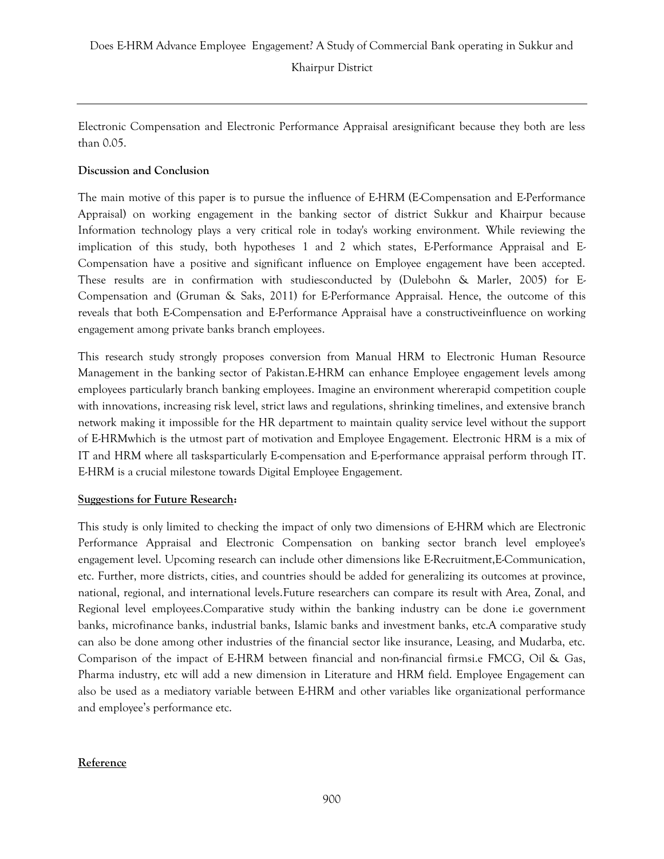Electronic Compensation and Electronic Performance Appraisal aresignificant because they both are less than 0.05.

# **Discussion and Conclusion**

The main motive of this paper is to pursue the influence of E-HRM (E-Compensation and E-Performance Appraisal) on working engagement in the banking sector of district Sukkur and Khairpur because Information technology plays a very critical role in today's working environment. While reviewing the implication of this study, both hypotheses 1 and 2 which states, E-Performance Appraisal and E-Compensation have a positive and significant influence on Employee engagement have been accepted. These results are in confirmation with studiesconducted by [\(Dulebohn & Marler, 2005\)](#page-12-16) for E-Compensation and [\(Gruman & Saks, 2011\)](#page-13-7) for E-Performance Appraisal. Hence, the outcome of this reveals that both E-Compensation and E-Performance Appraisal have a constructiveinfluence on working engagement among private banks branch employees.

This research study strongly proposes conversion from Manual HRM to Electronic Human Resource Management in the banking sector of Pakistan.E-HRM can enhance Employee engagement levels among employees particularly branch banking employees. Imagine an environment whererapid competition couple with innovations, increasing risk level, strict laws and regulations, shrinking timelines, and extensive branch network making it impossible for the HR department to maintain quality service level without the support of E-HRMwhich is the utmost part of motivation and Employee Engagement. Electronic HRM is a mix of IT and HRM where all tasksparticularly E-compensation and E-performance appraisal perform through IT. E-HRM is a crucial milestone towards Digital Employee Engagement.

# **Suggestions for Future Research:**

This study is only limited to checking the impact of only two dimensions of E-HRM which are Electronic Performance Appraisal and Electronic Compensation on banking sector branch level employee's engagement level. Upcoming research can include other dimensions like E-Recruitment,E-Communication, etc. Further, more districts, cities, and countries should be added for generalizing its outcomes at province, national, regional, and international levels.Future researchers can compare its result with Area, Zonal, and Regional level employees.Comparative study within the banking industry can be done i.e government banks, microfinance banks, industrial banks, Islamic banks and investment banks, etc.A comparative study can also be done among other industries of the financial sector like insurance, Leasing, and Mudarba, etc. Comparison of the impact of E-HRM between financial and non-financial firmsi.e FMCG, Oil & Gas, Pharma industry, etc will add a new dimension in Literature and HRM field. Employee Engagement can also be used as a mediatory variable between E-HRM and other variables like organizational performance and employee's performance etc.

# **Reference**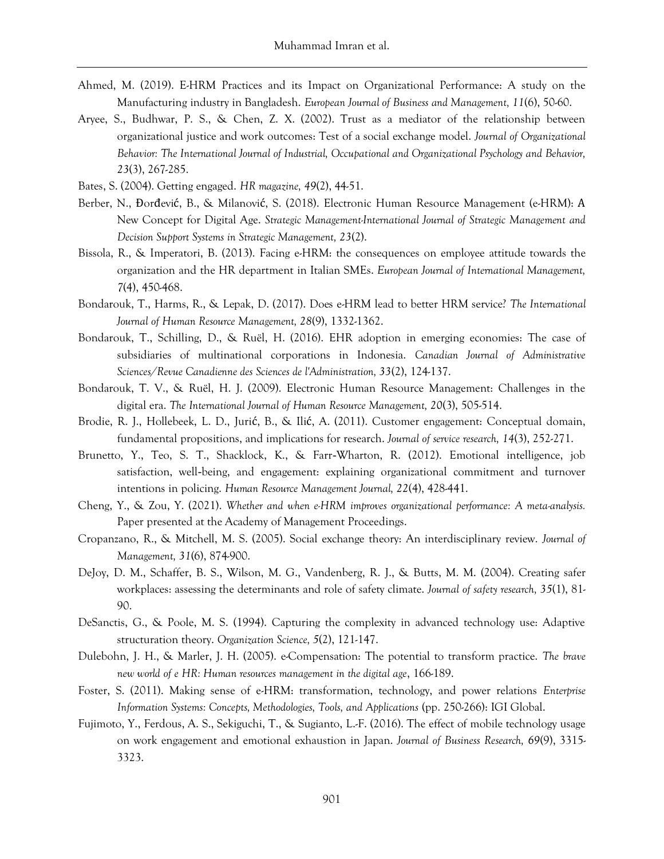- <span id="page-12-14"></span>Ahmed, M. (2019). E-HRM Practices and its Impact on Organizational Performance: A study on the Manufacturing industry in Bangladesh. *European Journal of Business and Management, 11*(6), 50-60.
- <span id="page-12-8"></span>Aryee, S., Budhwar, P. S., & Chen, Z. X. (2002). Trust as a mediator of the relationship between organizational justice and work outcomes: Test of a social exchange model. *Journal of Organizational Behavior: The International Journal of Industrial, Occupational and Organizational Psychology and Behavior, 23*(3), 267-285.
- <span id="page-12-6"></span>Bates, S. (2004). Getting engaged. *HR magazine, 49*(2), 44-51.
- <span id="page-12-15"></span>Berber, N., Đorđević, B., & Milanović, S. (2018). Electronic Human Resource Management (e-HRM): А New Concept for Digital Age. *Strategic Management-International Journal of Strategic Management and Decision Support Systems in Strategic Management, 23*(2).
- <span id="page-12-3"></span>Bissola, R., & Imperatori, B. (2013). Facing e-HRM: the consequences on employee attitude towards the organization and the HR department in Italian SMEs. *European Journal of International Management, 7*(4), 450-468.
- <span id="page-12-1"></span>Bondarouk, T., Harms, R., & Lepak, D. (2017). Does e-HRM lead to better HRM service? *The International Journal of Human Resource Management, 28*(9), 1332-1362.
- <span id="page-12-0"></span>Bondarouk, T., Schilling, D., & Ruël, H. (2016). EHR adoption in emerging economies: The case of subsidiaries of multinational corporations in Indonesia. *Canadian Journal of Administrative Sciences/Revue Canadienne des Sciences de l'Administration, 33*(2), 124-137.
- <span id="page-12-11"></span>Bondarouk, T. V., & Ruël, H. J. (2009). Electronic Human Resource Management: Challenges in the digital era. *The International Journal of Human Resource Management, 20*(3), 505-514.
- <span id="page-12-4"></span>Brodie, R. J., Hollebeek, L. D., Jurić, B., & Ilić, A. (2011). Customer engagement: Conceptual domain, fundamental propositions, and implications for research. *Journal of service research, 14*(3), 252-271.
- <span id="page-12-5"></span>Brunetto, Y., Teo, S. T., Shacklock, K., & Farr‐Wharton, R. (2012). Emotional intelligence, job satisfaction, well‐being, and engagement: explaining organizational commitment and turnover intentions in policing. *Human Resource Management Journal, 22*(4), 428-441.
- <span id="page-12-13"></span>Cheng, Y., & Zou, Y. (2021). *Whether and when e-HRM improves organizational performance: A meta-analysis.* Paper presented at the Academy of Management Proceedings.
- <span id="page-12-7"></span>Cropanzano, R., & Mitchell, M. S. (2005). Social exchange theory: An interdisciplinary review. *Journal of Management, 31*(6), 874-900.
- <span id="page-12-9"></span>DeJoy, D. M., Schaffer, B. S., Wilson, M. G., Vandenberg, R. J., & Butts, M. M. (2004). Creating safer workplaces: assessing the determinants and role of safety climate. *Journal of safety research, 35*(1), 81- 90.
- <span id="page-12-10"></span>DeSanctis, G., & Poole, M. S. (1994). Capturing the complexity in advanced technology use: Adaptive structuration theory. *Organization Science, 5*(2), 121-147.
- <span id="page-12-16"></span>Dulebohn, J. H., & Marler, J. H. (2005). e-Compensation: The potential to transform practice. *The brave new world of e HR: Human resources management in the digital age*, 166-189.
- <span id="page-12-12"></span>Foster, S. (2011). Making sense of e-HRM: transformation, technology, and power relations *Enterprise Information Systems: Concepts, Methodologies, Tools, and Applications* (pp. 250-266): IGI Global.
- <span id="page-12-2"></span>Fujimoto, Y., Ferdous, A. S., Sekiguchi, T., & Sugianto, L.-F. (2016). The effect of mobile technology usage on work engagement and emotional exhaustion in Japan. *Journal of Business Research, 69*(9), 3315- 3323.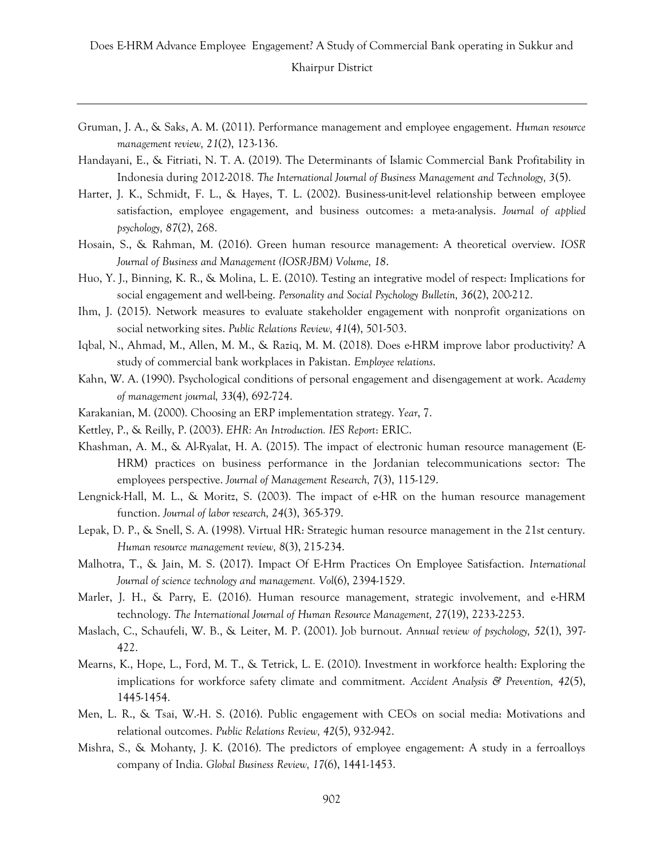- <span id="page-13-7"></span>Gruman, J. A., & Saks, A. M. (2011). Performance management and employee engagement. *Human resource management review, 21*(2), 123-136.
- <span id="page-13-10"></span>Handayani, E., & Fitriati, N. T. A. (2019). The Determinants of Islamic Commercial Bank Profitability in Indonesia during 2012-2018. *The International Journal of Business Management and Technology, 3*(5).
- <span id="page-13-6"></span>Harter, J. K., Schmidt, F. L., & Hayes, T. L. (2002). Business-unit-level relationship between employee satisfaction, employee engagement, and business outcomes: a meta-analysis. *Journal of applied psychology, 87*(2), 268.
- <span id="page-13-2"></span>Hosain, S., & Rahman, M. (2016). Green human resource management: A theoretical overview. *IOSR Journal of Business and Management (IOSR-JBM) Volume, 18*.
- <span id="page-13-3"></span>Huo, Y. J., Binning, K. R., & Molina, L. E. (2010). Testing an integrative model of respect: Implications for social engagement and well-being. *Personality and Social Psychology Bulletin, 36*(2), 200-212.
- <span id="page-13-4"></span>Ihm, J. (2015). Network measures to evaluate stakeholder engagement with nonprofit organizations on social networking sites. *Public Relations Review, 41*(4), 501-503.
- <span id="page-13-1"></span>Iqbal, N., Ahmad, M., Allen, M. M., & Raziq, M. M. (2018). Does e-HRM improve labor productivity? A study of commercial bank workplaces in Pakistan. *Employee relations*.
- <span id="page-13-15"></span>Kahn, W. A. (1990). Psychological conditions of personal engagement and disengagement at work. *Academy of management journal, 33*(4), 692-724.
- <span id="page-13-12"></span>Karakanian, M. (2000). Choosing an ERP implementation strategy. *Year*, 7.
- <span id="page-13-14"></span>Kettley, P., & Reilly, P. (2003). *EHR: An Introduction. IES Report*: ERIC.
- <span id="page-13-8"></span>Khashman, A. M., & Al-Ryalat, H. A. (2015). The impact of electronic human resource management (E-HRM) practices on business performance in the Jordanian telecommunications sector: The employees perspective. *Journal of Management Research, 7*(3), 115-129.
- <span id="page-13-13"></span>Lengnick-Hall, M. L., & Moritz, S. (2003). The impact of e-HR on the human resource management function. *Journal of labor research, 24*(3), 365-379.
- <span id="page-13-11"></span>Lepak, D. P., & Snell, S. A. (1998). Virtual HR: Strategic human resource management in the 21st century. *Human resource management review, 8*(3), 215-234.
- <span id="page-13-18"></span>Malhotra, T., & Jain, M. S. (2017). Impact Of E-Hrm Practices On Employee Satisfaction. *International Journal of science technology and management. Vol*(6), 2394-1529.
- <span id="page-13-0"></span>Marler, J. H., & Parry, E. (2016). Human resource management, strategic involvement, and e-HRM technology. *The International Journal of Human Resource Management, 27*(19), 2233-2253.
- <span id="page-13-16"></span>Maslach, C., Schaufeli, W. B., & Leiter, M. P. (2001). Job burnout. *Annual review of psychology, 52*(1), 397- 422.
- <span id="page-13-9"></span>Mearns, K., Hope, L., Ford, M. T., & Tetrick, L. E. (2010). Investment in workforce health: Exploring the implications for workforce safety climate and commitment. *Accident Analysis & Prevention, 42*(5), 1445-1454.
- <span id="page-13-5"></span>Men, L. R., & Tsai, W.-H. S. (2016). Public engagement with CEOs on social media: Motivations and relational outcomes. *Public Relations Review, 42*(5), 932-942.
- <span id="page-13-17"></span>Mishra, S., & Mohanty, J. K. (2016). The predictors of employee engagement: A study in a ferroalloys company of India. *Global Business Review, 17*(6), 1441-1453.